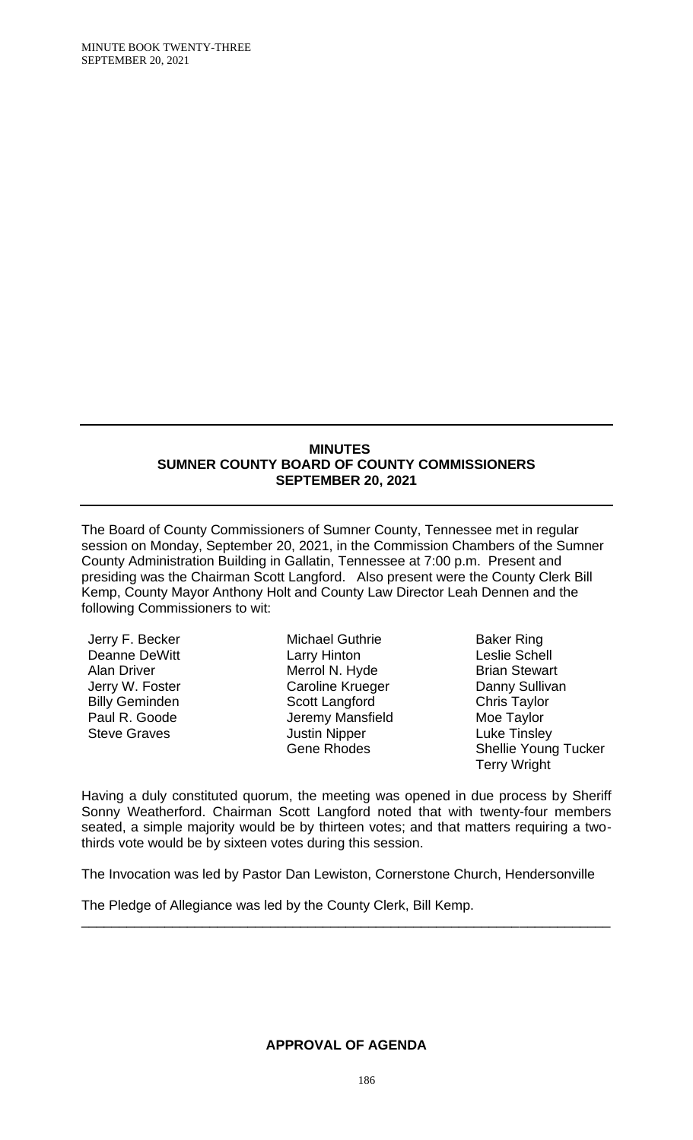### **MINUTES SUMNER COUNTY BOARD OF COUNTY COMMISSIONERS SEPTEMBER 20, 2021**

The Board of County Commissioners of Sumner County, Tennessee met in regular session on Monday, September 20, 2021, in the Commission Chambers of the Sumner County Administration Building in Gallatin, Tennessee at 7:00 p.m. Present and presiding was the Chairman Scott Langford. Also present were the County Clerk Bill Kemp, County Mayor Anthony Holt and County Law Director Leah Dennen and the following Commissioners to wit:

Jerry F. Becker Deanne DeWitt Alan Driver Jerry W. Foster Billy Geminden Paul R. Goode Steve Graves

Michael Guthrie Larry Hinton Merrol N. Hyde Caroline Krueger Scott Langford Jeremy Mansfield Justin Nipper Gene Rhodes

Baker Ring Leslie Schell Brian Stewart Danny Sullivan Chris Taylor Moe Taylor Luke Tinsley Shellie Young Tucker Terry Wright

Having a duly constituted quorum, the meeting was opened in due process by Sheriff Sonny Weatherford. Chairman Scott Langford noted that with twenty-four members seated, a simple majority would be by thirteen votes; and that matters requiring a twothirds vote would be by sixteen votes during this session.

The Invocation was led by Pastor Dan Lewiston, Cornerstone Church, Hendersonville

\_\_\_\_\_\_\_\_\_\_\_\_\_\_\_\_\_\_\_\_\_\_\_\_\_\_\_\_\_\_\_\_\_\_\_\_\_\_\_\_\_\_\_\_\_\_\_\_\_\_\_\_\_\_\_\_\_\_\_\_\_\_\_\_\_\_\_\_\_\_

The Pledge of Allegiance was led by the County Clerk, Bill Kemp.

#### **APPROVAL OF AGENDA**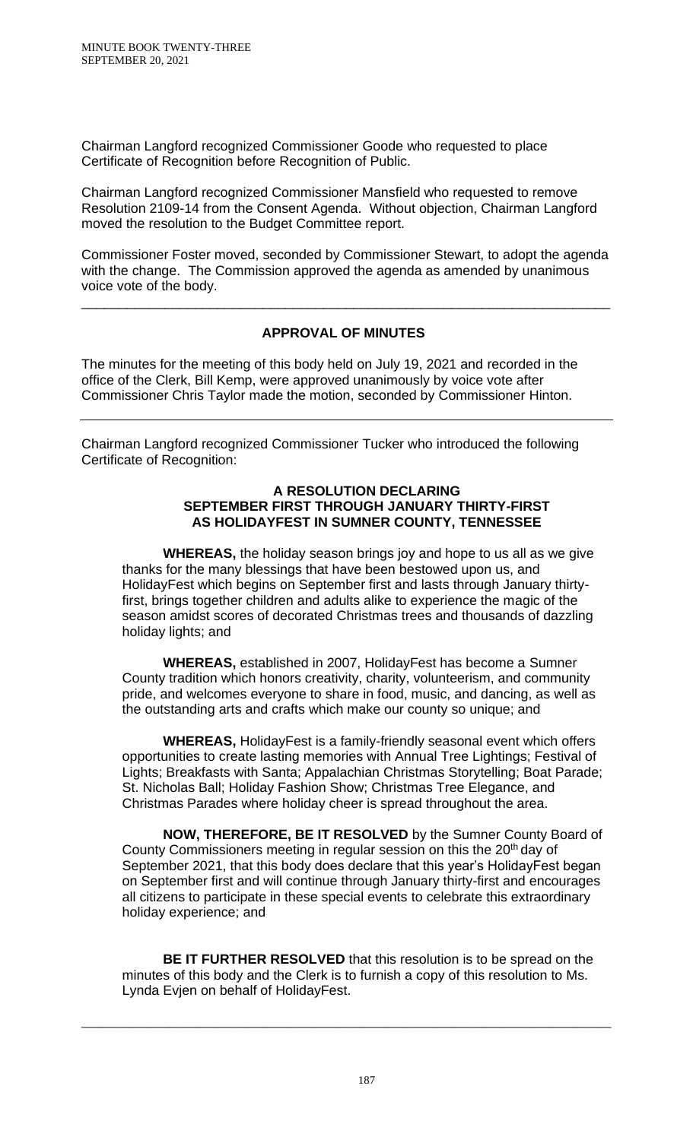Chairman Langford recognized Commissioner Goode who requested to place Certificate of Recognition before Recognition of Public.

Chairman Langford recognized Commissioner Mansfield who requested to remove Resolution 2109-14 from the Consent Agenda. Without objection, Chairman Langford moved the resolution to the Budget Committee report.

Commissioner Foster moved, seconded by Commissioner Stewart, to adopt the agenda with the change. The Commission approved the agenda as amended by unanimous voice vote of the body.

# **APPROVAL OF MINUTES**

\_\_\_\_\_\_\_\_\_\_\_\_\_\_\_\_\_\_\_\_\_\_\_\_\_\_\_\_\_\_\_\_\_\_\_\_\_\_\_\_\_\_\_\_\_\_\_\_\_\_\_\_\_\_\_\_\_\_\_\_\_\_\_\_\_\_\_\_\_\_

The minutes for the meeting of this body held on July 19, 2021 and recorded in the office of the Clerk, Bill Kemp, were approved unanimously by voice vote after Commissioner Chris Taylor made the motion, seconded by Commissioner Hinton.

Chairman Langford recognized Commissioner Tucker who introduced the following Certificate of Recognition:

#### **A RESOLUTION DECLARING SEPTEMBER FIRST THROUGH JANUARY THIRTY-FIRST AS HOLIDAYFEST IN SUMNER COUNTY, TENNESSEE**

**WHEREAS,** the holiday season brings joy and hope to us all as we give thanks for the many blessings that have been bestowed upon us, and HolidayFest which begins on September first and lasts through January thirtyfirst, brings together children and adults alike to experience the magic of the season amidst scores of decorated Christmas trees and thousands of dazzling holiday lights; and

**WHEREAS,** established in 2007, HolidayFest has become a Sumner County tradition which honors creativity, charity, volunteerism, and community pride, and welcomes everyone to share in food, music, and dancing, as well as the outstanding arts and crafts which make our county so unique; and

**WHEREAS,** HolidayFest is a family-friendly seasonal event which offers opportunities to create lasting memories with Annual Tree Lightings; Festival of Lights; Breakfasts with Santa; Appalachian Christmas Storytelling; Boat Parade; St. Nicholas Ball; Holiday Fashion Show; Christmas Tree Elegance, and Christmas Parades where holiday cheer is spread throughout the area.

**NOW, THEREFORE, BE IT RESOLVED** by the Sumner County Board of County Commissioners meeting in regular session on this the 20<sup>th</sup> day of September 2021, that this body does declare that this year's HolidayFest began on September first and will continue through January thirty-first and encourages all citizens to participate in these special events to celebrate this extraordinary holiday experience; and

**BE IT FURTHER RESOLVED** that this resolution is to be spread on the minutes of this body and the Clerk is to furnish a copy of this resolution to Ms. Lynda Evjen on behalf of HolidayFest.

\_\_\_\_\_\_\_\_\_\_\_\_\_\_\_\_\_\_\_\_\_\_\_\_\_\_\_\_\_\_\_\_\_\_\_\_\_\_\_\_\_\_\_\_\_\_\_\_\_\_\_\_\_\_\_\_\_\_\_\_\_\_\_\_\_\_\_\_\_\_\_\_\_\_\_\_\_\_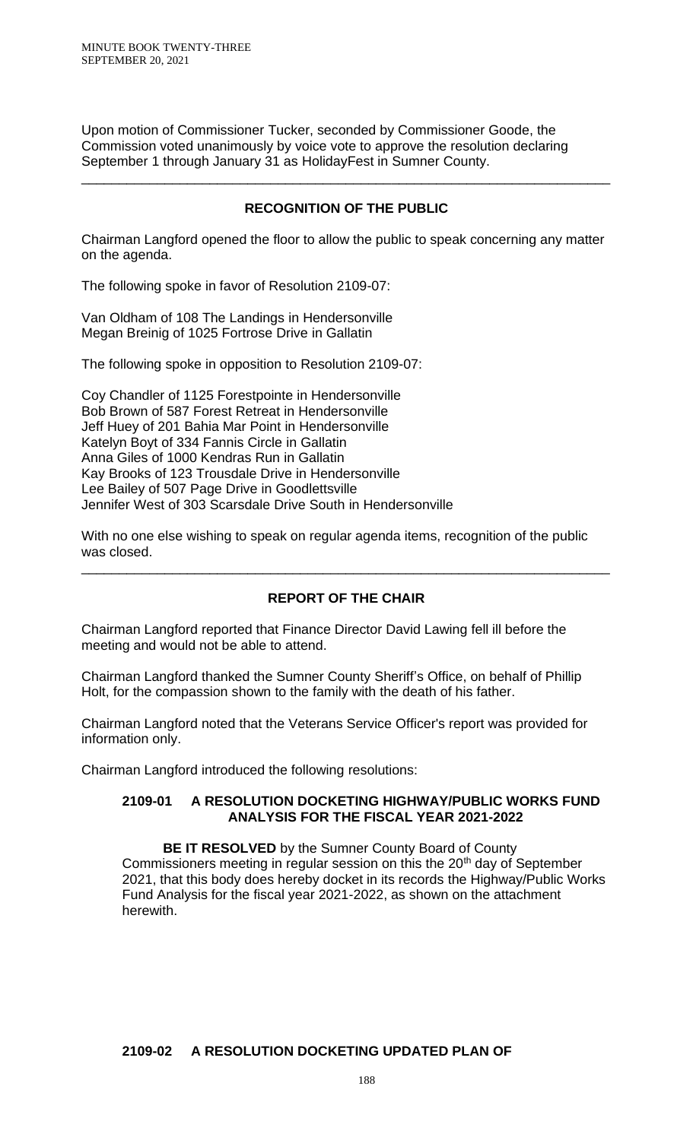MINUTE BOOK TWENTY-THREE SEPTEMBER 20, 2021

Upon motion of Commissioner Tucker, seconded by Commissioner Goode, the Commission voted unanimously by voice vote to approve the resolution declaring September 1 through January 31 as HolidayFest in Sumner County.

## **RECOGNITION OF THE PUBLIC**

\_\_\_\_\_\_\_\_\_\_\_\_\_\_\_\_\_\_\_\_\_\_\_\_\_\_\_\_\_\_\_\_\_\_\_\_\_\_\_\_\_\_\_\_\_\_\_\_\_\_\_\_\_\_\_\_\_\_\_\_\_\_\_\_\_\_\_\_\_\_

Chairman Langford opened the floor to allow the public to speak concerning any matter on the agenda.

The following spoke in favor of Resolution 2109-07:

Van Oldham of 108 The Landings in Hendersonville Megan Breinig of 1025 Fortrose Drive in Gallatin

The following spoke in opposition to Resolution 2109-07:

Coy Chandler of 1125 Forestpointe in Hendersonville Bob Brown of 587 Forest Retreat in Hendersonville Jeff Huey of 201 Bahia Mar Point in Hendersonville Katelyn Boyt of 334 Fannis Circle in Gallatin Anna Giles of 1000 Kendras Run in Gallatin Kay Brooks of 123 Trousdale Drive in Hendersonville Lee Bailey of 507 Page Drive in Goodlettsville Jennifer West of 303 Scarsdale Drive South in Hendersonville

With no one else wishing to speak on regular agenda items, recognition of the public was closed.

### **REPORT OF THE CHAIR**

\_\_\_\_\_\_\_\_\_\_\_\_\_\_\_\_\_\_\_\_\_\_\_\_\_\_\_\_\_\_\_\_\_\_\_\_\_\_\_\_\_\_\_\_\_\_\_\_\_\_\_\_\_\_\_\_\_\_\_\_\_\_\_\_\_\_\_\_\_\_

Chairman Langford reported that Finance Director David Lawing fell ill before the meeting and would not be able to attend.

Chairman Langford thanked the Sumner County Sheriff's Office, on behalf of Phillip Holt, for the compassion shown to the family with the death of his father.

Chairman Langford noted that the Veterans Service Officer's report was provided for information only.

Chairman Langford introduced the following resolutions:

#### **2109-01 A RESOLUTION DOCKETING HIGHWAY/PUBLIC WORKS FUND ANALYSIS FOR THE FISCAL YEAR 2021-2022**

**BE IT RESOLVED** by the Sumner County Board of County Commissioners meeting in regular session on this the 20<sup>th</sup> day of September 2021, that this body does hereby docket in its records the Highway/Public Works Fund Analysis for the fiscal year 2021-2022, as shown on the attachment herewith.

# **2109-02 A RESOLUTION DOCKETING UPDATED PLAN OF**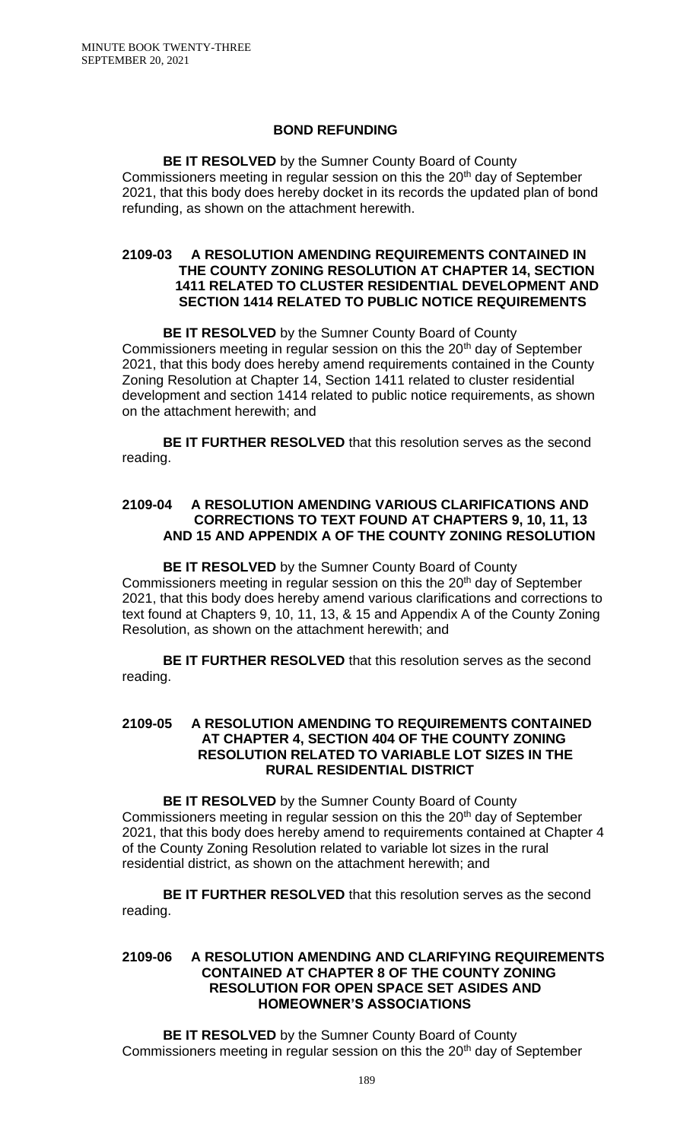### **BOND REFUNDING**

**BE IT RESOLVED** by the Sumner County Board of County Commissioners meeting in regular session on this the 20<sup>th</sup> day of September 2021, that this body does hereby docket in its records the updated plan of bond refunding, as shown on the attachment herewith.

#### **2109-03 A RESOLUTION AMENDING REQUIREMENTS CONTAINED IN THE COUNTY ZONING RESOLUTION AT CHAPTER 14, SECTION 1411 RELATED TO CLUSTER RESIDENTIAL DEVELOPMENT AND SECTION 1414 RELATED TO PUBLIC NOTICE REQUIREMENTS**

**BE IT RESOLVED** by the Sumner County Board of County Commissioners meeting in regular session on this the 20<sup>th</sup> day of September 2021, that this body does hereby amend requirements contained in the County Zoning Resolution at Chapter 14, Section 1411 related to cluster residential development and section 1414 related to public notice requirements, as shown on the attachment herewith; and

**BE IT FURTHER RESOLVED** that this resolution serves as the second reading.

## **2109-04 A RESOLUTION AMENDING VARIOUS CLARIFICATIONS AND CORRECTIONS TO TEXT FOUND AT CHAPTERS 9, 10, 11, 13 AND 15 AND APPENDIX A OF THE COUNTY ZONING RESOLUTION**

**BE IT RESOLVED** by the Sumner County Board of County Commissioners meeting in regular session on this the 20<sup>th</sup> day of September 2021, that this body does hereby amend various clarifications and corrections to text found at Chapters 9, 10, 11, 13, & 15 and Appendix A of the County Zoning Resolution, as shown on the attachment herewith; and

**BE IT FURTHER RESOLVED** that this resolution serves as the second reading.

### **2109-05 A RESOLUTION AMENDING TO REQUIREMENTS CONTAINED AT CHAPTER 4, SECTION 404 OF THE COUNTY ZONING RESOLUTION RELATED TO VARIABLE LOT SIZES IN THE RURAL RESIDENTIAL DISTRICT**

**BE IT RESOLVED** by the Sumner County Board of County Commissioners meeting in regular session on this the 20<sup>th</sup> day of September 2021, that this body does hereby amend to requirements contained at Chapter 4 of the County Zoning Resolution related to variable lot sizes in the rural residential district, as shown on the attachment herewith; and

**BE IT FURTHER RESOLVED** that this resolution serves as the second reading.

#### **2109-06 A RESOLUTION AMENDING AND CLARIFYING REQUIREMENTS CONTAINED AT CHAPTER 8 OF THE COUNTY ZONING RESOLUTION FOR OPEN SPACE SET ASIDES AND HOMEOWNER'S ASSOCIATIONS**

**BE IT RESOLVED** by the Sumner County Board of County Commissioners meeting in regular session on this the 20<sup>th</sup> day of September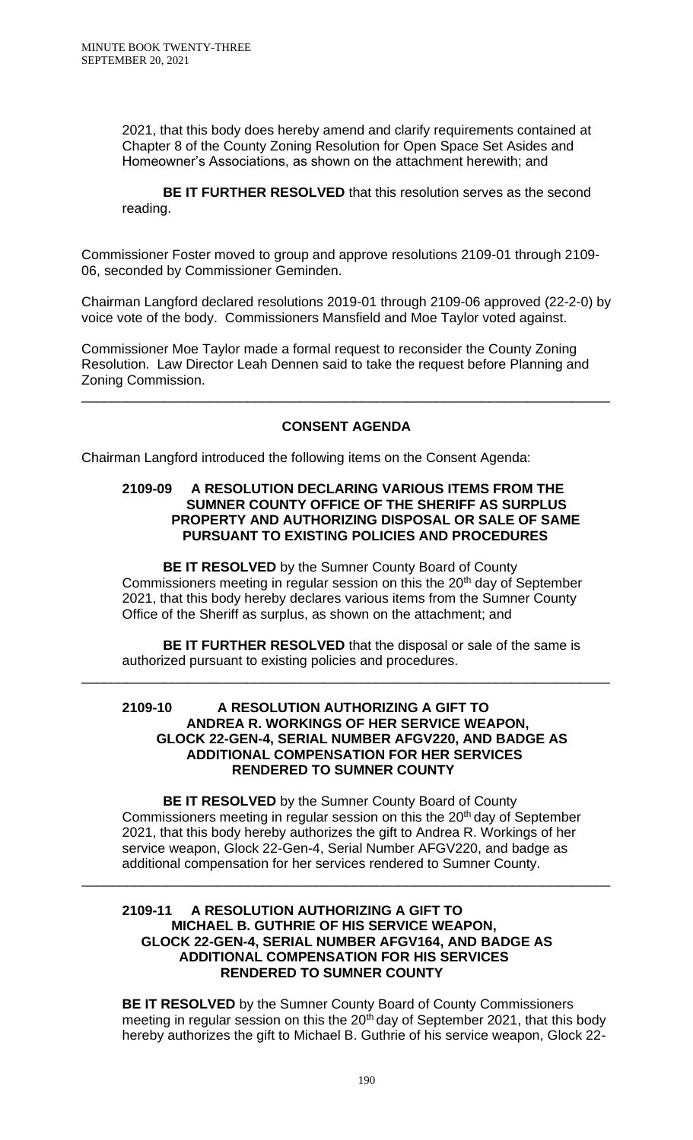2021, that this body does hereby amend and clarify requirements contained at Chapter 8 of the County Zoning Resolution for Open Space Set Asides and Homeowner's Associations, as shown on the attachment herewith; and

**BE IT FURTHER RESOLVED** that this resolution serves as the second reading.

Commissioner Foster moved to group and approve resolutions 2109-01 through 2109- 06, seconded by Commissioner Geminden.

Chairman Langford declared resolutions 2019-01 through 2109-06 approved (22-2-0) by voice vote of the body. Commissioners Mansfield and Moe Taylor voted against.

Commissioner Moe Taylor made a formal request to reconsider the County Zoning Resolution. Law Director Leah Dennen said to take the request before Planning and Zoning Commission.

# **CONSENT AGENDA**

\_\_\_\_\_\_\_\_\_\_\_\_\_\_\_\_\_\_\_\_\_\_\_\_\_\_\_\_\_\_\_\_\_\_\_\_\_\_\_\_\_\_\_\_\_\_\_\_\_\_\_\_\_\_\_\_\_\_\_\_\_\_\_\_\_\_\_\_\_\_

Chairman Langford introduced the following items on the Consent Agenda:

### **2109-09 A RESOLUTION DECLARING VARIOUS ITEMS FROM THE SUMNER COUNTY OFFICE OF THE SHERIFF AS SURPLUS PROPERTY AND AUTHORIZING DISPOSAL OR SALE OF SAME PURSUANT TO EXISTING POLICIES AND PROCEDURES**

**BE IT RESOLVED** by the Sumner County Board of County Commissioners meeting in regular session on this the 20<sup>th</sup> day of September 2021, that this body hereby declares various items from the Sumner County Office of the Sheriff as surplus, as shown on the attachment; and

**BE IT FURTHER RESOLVED** that the disposal or sale of the same is authorized pursuant to existing policies and procedures.

\_\_\_\_\_\_\_\_\_\_\_\_\_\_\_\_\_\_\_\_\_\_\_\_\_\_\_\_\_\_\_\_\_\_\_\_\_\_\_\_\_\_\_\_\_\_\_\_\_\_\_\_\_\_\_\_\_\_\_\_\_\_\_\_\_\_\_\_\_\_

### **2109-10 A RESOLUTION AUTHORIZING A GIFT TO ANDREA R. WORKINGS OF HER SERVICE WEAPON, GLOCK 22-GEN-4, SERIAL NUMBER AFGV220, AND BADGE AS ADDITIONAL COMPENSATION FOR HER SERVICES RENDERED TO SUMNER COUNTY**

**BE IT RESOLVED** by the Sumner County Board of County Commissioners meeting in regular session on this the 20<sup>th</sup> day of September 2021, that this body hereby authorizes the gift to Andrea R. Workings of her service weapon, Glock 22-Gen-4, Serial Number AFGV220, and badge as additional compensation for her services rendered to Sumner County.

\_\_\_\_\_\_\_\_\_\_\_\_\_\_\_\_\_\_\_\_\_\_\_\_\_\_\_\_\_\_\_\_\_\_\_\_\_\_\_\_\_\_\_\_\_\_\_\_\_\_\_\_\_\_\_\_\_\_\_\_\_\_\_\_\_\_\_\_\_\_

### **2109-11 A RESOLUTION AUTHORIZING A GIFT TO MICHAEL B. GUTHRIE OF HIS SERVICE WEAPON, GLOCK 22-GEN-4, SERIAL NUMBER AFGV164, AND BADGE AS ADDITIONAL COMPENSATION FOR HIS SERVICES RENDERED TO SUMNER COUNTY**

**BE IT RESOLVED** by the Sumner County Board of County Commissioners meeting in regular session on this the 20<sup>th</sup> day of September 2021, that this body hereby authorizes the gift to Michael B. Guthrie of his service weapon, Glock 22-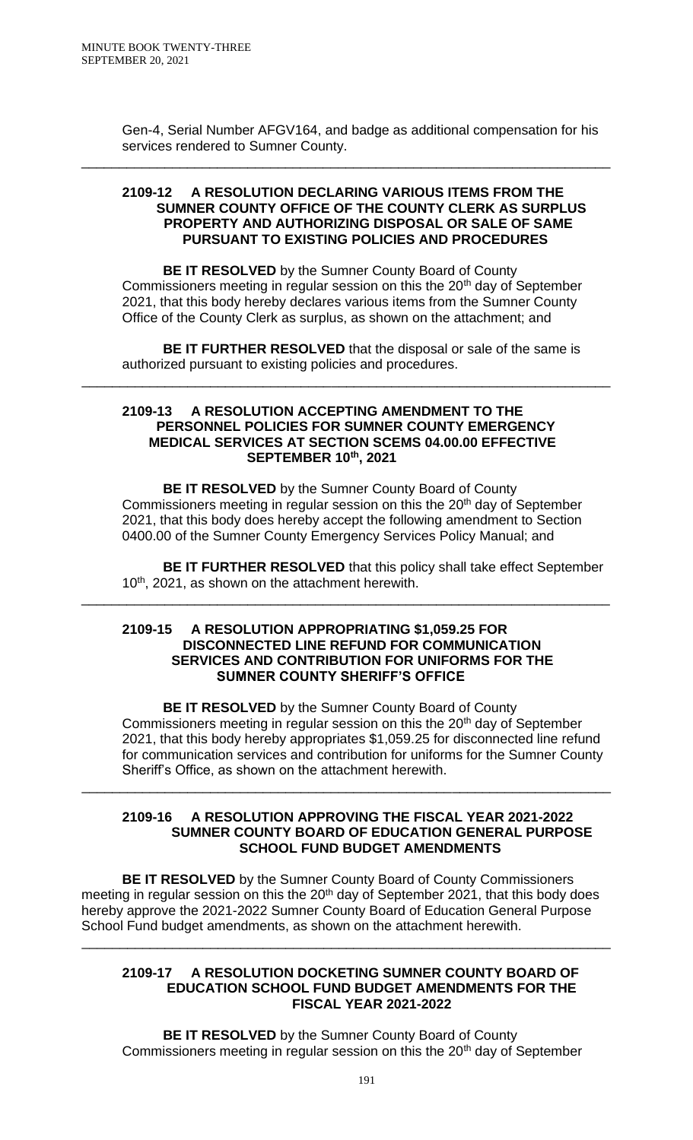Gen-4, Serial Number AFGV164, and badge as additional compensation for his services rendered to Sumner County.

#### **2109-12 A RESOLUTION DECLARING VARIOUS ITEMS FROM THE SUMNER COUNTY OFFICE OF THE COUNTY CLERK AS SURPLUS PROPERTY AND AUTHORIZING DISPOSAL OR SALE OF SAME PURSUANT TO EXISTING POLICIES AND PROCEDURES**

\_\_\_\_\_\_\_\_\_\_\_\_\_\_\_\_\_\_\_\_\_\_\_\_\_\_\_\_\_\_\_\_\_\_\_\_\_\_\_\_\_\_\_\_\_\_\_\_\_\_\_\_\_\_\_\_\_\_\_\_\_\_\_\_\_\_\_\_\_\_

**BE IT RESOLVED** by the Sumner County Board of County Commissioners meeting in regular session on this the 20<sup>th</sup> day of September 2021, that this body hereby declares various items from the Sumner County Office of the County Clerk as surplus, as shown on the attachment; and

**BE IT FURTHER RESOLVED** that the disposal or sale of the same is authorized pursuant to existing policies and procedures.

\_\_\_\_\_\_\_\_\_\_\_\_\_\_\_\_\_\_\_\_\_\_\_\_\_\_\_\_\_\_\_\_\_\_\_\_\_\_\_\_\_\_\_\_\_\_\_\_\_\_\_\_\_\_\_\_\_\_\_\_\_\_\_\_\_\_\_\_\_\_

#### **2109-13 A RESOLUTION ACCEPTING AMENDMENT TO THE PERSONNEL POLICIES FOR SUMNER COUNTY EMERGENCY MEDICAL SERVICES AT SECTION SCEMS 04.00.00 EFFECTIVE SEPTEMBER 10th, 2021**

**BE IT RESOLVED** by the Sumner County Board of County Commissioners meeting in regular session on this the 20<sup>th</sup> day of September 2021, that this body does hereby accept the following amendment to Section 0400.00 of the Sumner County Emergency Services Policy Manual; and

**BE IT FURTHER RESOLVED** that this policy shall take effect September 10<sup>th</sup>, 2021, as shown on the attachment herewith.

### **2109-15 A RESOLUTION APPROPRIATING \$1,059.25 FOR DISCONNECTED LINE REFUND FOR COMMUNICATION SERVICES AND CONTRIBUTION FOR UNIFORMS FOR THE SUMNER COUNTY SHERIFF'S OFFICE**

\_\_\_\_\_\_\_\_\_\_\_\_\_\_\_\_\_\_\_\_\_\_\_\_\_\_\_\_\_\_\_\_\_\_\_\_\_\_\_\_\_\_\_\_\_\_\_\_\_\_\_\_\_\_\_\_\_\_\_\_\_\_\_\_\_\_\_\_\_\_

**BE IT RESOLVED** by the Sumner County Board of County Commissioners meeting in regular session on this the 20<sup>th</sup> day of September 2021, that this body hereby appropriates \$1,059.25 for disconnected line refund for communication services and contribution for uniforms for the Sumner County Sheriff's Office, as shown on the attachment herewith.

### **2109-16 A RESOLUTION APPROVING THE FISCAL YEAR 2021-2022 SUMNER COUNTY BOARD OF EDUCATION GENERAL PURPOSE SCHOOL FUND BUDGET AMENDMENTS**

\_\_\_\_\_\_\_\_\_\_\_\_\_\_\_\_\_\_\_\_\_\_\_\_\_\_\_\_\_\_\_\_\_\_\_\_\_\_\_\_\_\_\_\_\_\_\_\_\_\_\_\_\_\_\_\_\_\_\_\_\_\_\_\_\_\_\_\_\_\_

**BE IT RESOLVED** by the Sumner County Board of County Commissioners meeting in regular session on this the 20<sup>th</sup> day of September 2021, that this body does hereby approve the 2021-2022 Sumner County Board of Education General Purpose School Fund budget amendments, as shown on the attachment herewith.

\_\_\_\_\_\_\_\_\_\_\_\_\_\_\_\_\_\_\_\_\_\_\_\_\_\_\_\_\_\_\_\_\_\_\_\_\_\_\_\_\_\_\_\_\_\_\_\_\_\_\_\_\_\_\_\_\_\_\_\_\_\_\_\_\_\_\_\_\_\_

#### **2109-17 A RESOLUTION DOCKETING SUMNER COUNTY BOARD OF EDUCATION SCHOOL FUND BUDGET AMENDMENTS FOR THE FISCAL YEAR 2021-2022**

**BE IT RESOLVED** by the Sumner County Board of County Commissioners meeting in regular session on this the 20<sup>th</sup> day of September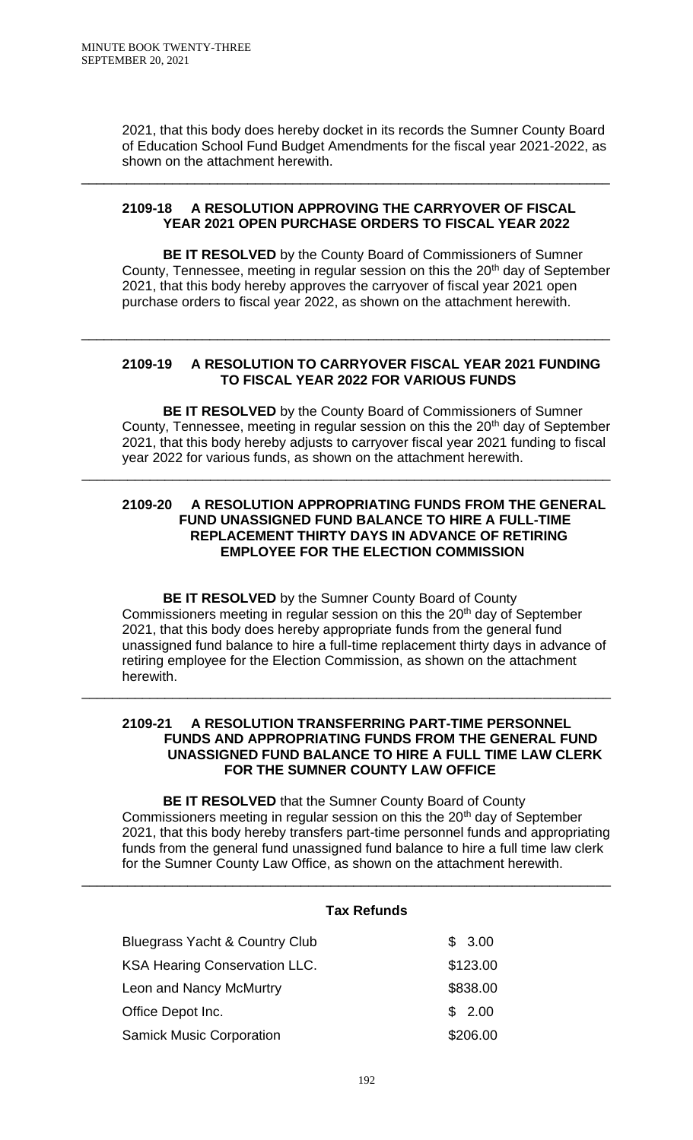2021, that this body does hereby docket in its records the Sumner County Board of Education School Fund Budget Amendments for the fiscal year 2021-2022, as shown on the attachment herewith.

### **2109-18 A RESOLUTION APPROVING THE CARRYOVER OF FISCAL YEAR 2021 OPEN PURCHASE ORDERS TO FISCAL YEAR 2022**

\_\_\_\_\_\_\_\_\_\_\_\_\_\_\_\_\_\_\_\_\_\_\_\_\_\_\_\_\_\_\_\_\_\_\_\_\_\_\_\_\_\_\_\_\_\_\_\_\_\_\_\_\_\_\_\_\_\_\_\_\_\_\_\_\_\_\_\_\_\_

**BE IT RESOLVED** by the County Board of Commissioners of Sumner County, Tennessee, meeting in regular session on this the  $20<sup>th</sup>$  day of September 2021, that this body hereby approves the carryover of fiscal year 2021 open purchase orders to fiscal year 2022, as shown on the attachment herewith.

## **2109-19 A RESOLUTION TO CARRYOVER FISCAL YEAR 2021 FUNDING TO FISCAL YEAR 2022 FOR VARIOUS FUNDS**

\_\_\_\_\_\_\_\_\_\_\_\_\_\_\_\_\_\_\_\_\_\_\_\_\_\_\_\_\_\_\_\_\_\_\_\_\_\_\_\_\_\_\_\_\_\_\_\_\_\_\_\_\_\_\_\_\_\_\_\_\_\_\_\_\_\_\_\_\_\_

\_\_\_\_\_\_\_\_\_\_\_\_\_\_\_\_\_\_\_\_\_\_\_\_\_\_\_\_\_\_\_\_\_\_\_\_\_\_\_\_\_\_\_\_\_\_\_\_\_\_\_\_\_\_\_\_\_\_\_\_\_\_\_\_\_\_\_\_\_\_

**BE IT RESOLVED** by the County Board of Commissioners of Sumner County, Tennessee, meeting in regular session on this the 20<sup>th</sup> day of September 2021, that this body hereby adjusts to carryover fiscal year 2021 funding to fiscal year 2022 for various funds, as shown on the attachment herewith.

### **2109-20 A RESOLUTION APPROPRIATING FUNDS FROM THE GENERAL FUND UNASSIGNED FUND BALANCE TO HIRE A FULL-TIME REPLACEMENT THIRTY DAYS IN ADVANCE OF RETIRING EMPLOYEE FOR THE ELECTION COMMISSION**

**BE IT RESOLVED** by the Sumner County Board of County Commissioners meeting in regular session on this the 20<sup>th</sup> day of September 2021, that this body does hereby appropriate funds from the general fund unassigned fund balance to hire a full-time replacement thirty days in advance of retiring employee for the Election Commission, as shown on the attachment herewith.

### **2109-21 A RESOLUTION TRANSFERRING PART-TIME PERSONNEL FUNDS AND APPROPRIATING FUNDS FROM THE GENERAL FUND UNASSIGNED FUND BALANCE TO HIRE A FULL TIME LAW CLERK FOR THE SUMNER COUNTY LAW OFFICE**

\_\_\_\_\_\_\_\_\_\_\_\_\_\_\_\_\_\_\_\_\_\_\_\_\_\_\_\_\_\_\_\_\_\_\_\_\_\_\_\_\_\_\_\_\_\_\_\_\_\_\_\_\_\_\_\_\_\_\_\_\_\_\_\_\_\_\_\_\_\_

**BE IT RESOLVED** that the Sumner County Board of County Commissioners meeting in regular session on this the 20<sup>th</sup> day of September 2021, that this body hereby transfers part-time personnel funds and appropriating funds from the general fund unassigned fund balance to hire a full time law clerk for the Sumner County Law Office, as shown on the attachment herewith.

#### **Tax Refunds**

\_\_\_\_\_\_\_\_\_\_\_\_\_\_\_\_\_\_\_\_\_\_\_\_\_\_\_\_\_\_\_\_\_\_\_\_\_\_\_\_\_\_\_\_\_\_\_\_\_\_\_\_\_\_\_\_\_\_\_\_\_\_\_\_\_\_\_\_\_\_

| <b>Bluegrass Yacht &amp; Country Club</b> | \$3.00   |
|-------------------------------------------|----------|
| <b>KSA Hearing Conservation LLC.</b>      | \$123.00 |
| Leon and Nancy McMurtry                   | \$838.00 |
| Office Depot Inc.                         | \$2.00   |
| <b>Samick Music Corporation</b>           | \$206.00 |
|                                           |          |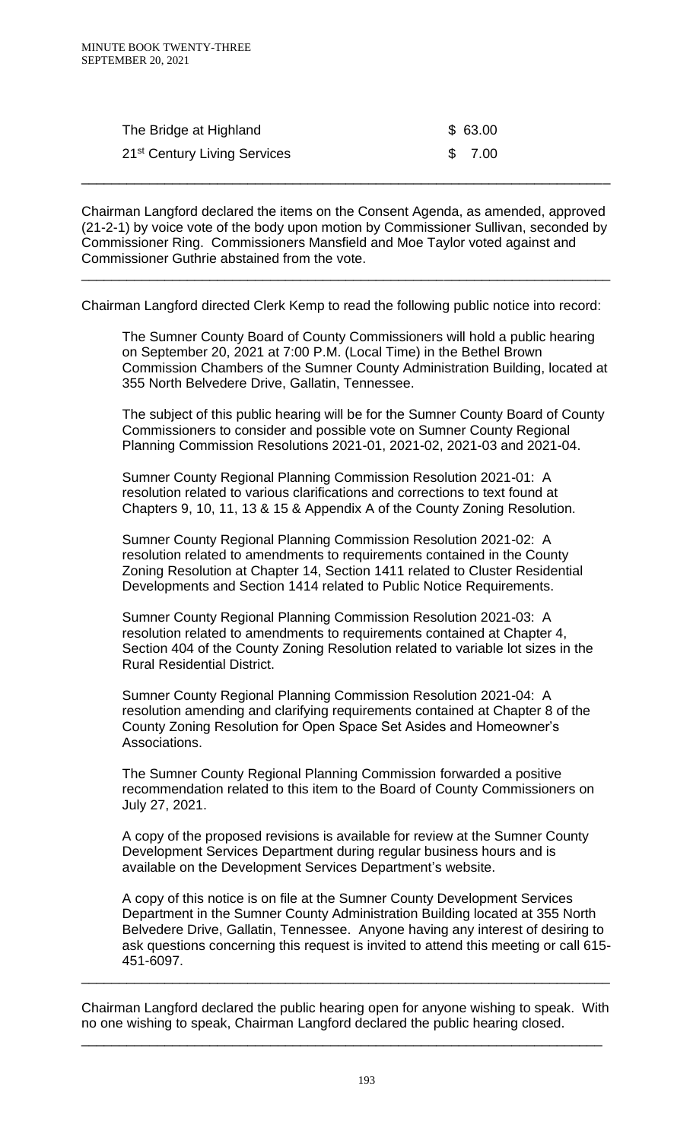| The Bridge at Highland                   | \$63.00 |
|------------------------------------------|---------|
| 21 <sup>st</sup> Century Living Services | \$7.00  |

Chairman Langford declared the items on the Consent Agenda, as amended, approved (21-2-1) by voice vote of the body upon motion by Commissioner Sullivan, seconded by Commissioner Ring. Commissioners Mansfield and Moe Taylor voted against and Commissioner Guthrie abstained from the vote.

\_\_\_\_\_\_\_\_\_\_\_\_\_\_\_\_\_\_\_\_\_\_\_\_\_\_\_\_\_\_\_\_\_\_\_\_\_\_\_\_\_\_\_\_\_\_\_\_\_\_\_\_\_\_\_\_\_\_\_\_\_\_\_\_\_\_\_\_\_\_

\_\_\_\_\_\_\_\_\_\_\_\_\_\_\_\_\_\_\_\_\_\_\_\_\_\_\_\_\_\_\_\_\_\_\_\_\_\_\_\_\_\_\_\_\_\_\_\_\_\_\_\_\_\_\_\_\_\_\_\_\_\_\_\_\_\_\_\_\_\_

Chairman Langford directed Clerk Kemp to read the following public notice into record:

The Sumner County Board of County Commissioners will hold a public hearing on September 20, 2021 at 7:00 P.M. (Local Time) in the Bethel Brown Commission Chambers of the Sumner County Administration Building, located at 355 North Belvedere Drive, Gallatin, Tennessee.

The subject of this public hearing will be for the Sumner County Board of County Commissioners to consider and possible vote on Sumner County Regional Planning Commission Resolutions 2021-01, 2021-02, 2021-03 and 2021-04.

Sumner County Regional Planning Commission Resolution 2021-01: A resolution related to various clarifications and corrections to text found at Chapters 9, 10, 11, 13 & 15 & Appendix A of the County Zoning Resolution.

Sumner County Regional Planning Commission Resolution 2021-02: A resolution related to amendments to requirements contained in the County Zoning Resolution at Chapter 14, Section 1411 related to Cluster Residential Developments and Section 1414 related to Public Notice Requirements.

Sumner County Regional Planning Commission Resolution 2021-03: A resolution related to amendments to requirements contained at Chapter 4, Section 404 of the County Zoning Resolution related to variable lot sizes in the Rural Residential District.

Sumner County Regional Planning Commission Resolution 2021-04: A resolution amending and clarifying requirements contained at Chapter 8 of the County Zoning Resolution for Open Space Set Asides and Homeowner's Associations.

The Sumner County Regional Planning Commission forwarded a positive recommendation related to this item to the Board of County Commissioners on July 27, 2021.

A copy of the proposed revisions is available for review at the Sumner County Development Services Department during regular business hours and is available on the Development Services Department's website.

A copy of this notice is on file at the Sumner County Development Services Department in the Sumner County Administration Building located at 355 North Belvedere Drive, Gallatin, Tennessee. Anyone having any interest of desiring to ask questions concerning this request is invited to attend this meeting or call 615- 451-6097.

Chairman Langford declared the public hearing open for anyone wishing to speak. With no one wishing to speak, Chairman Langford declared the public hearing closed.

\_\_\_\_\_\_\_\_\_\_\_\_\_\_\_\_\_\_\_\_\_\_\_\_\_\_\_\_\_\_\_\_\_\_\_\_\_\_\_\_\_\_\_\_\_\_\_\_\_\_\_\_\_\_\_\_\_\_\_\_\_\_\_\_\_\_\_\_\_

\_\_\_\_\_\_\_\_\_\_\_\_\_\_\_\_\_\_\_\_\_\_\_\_\_\_\_\_\_\_\_\_\_\_\_\_\_\_\_\_\_\_\_\_\_\_\_\_\_\_\_\_\_\_\_\_\_\_\_\_\_\_\_\_\_\_\_\_\_\_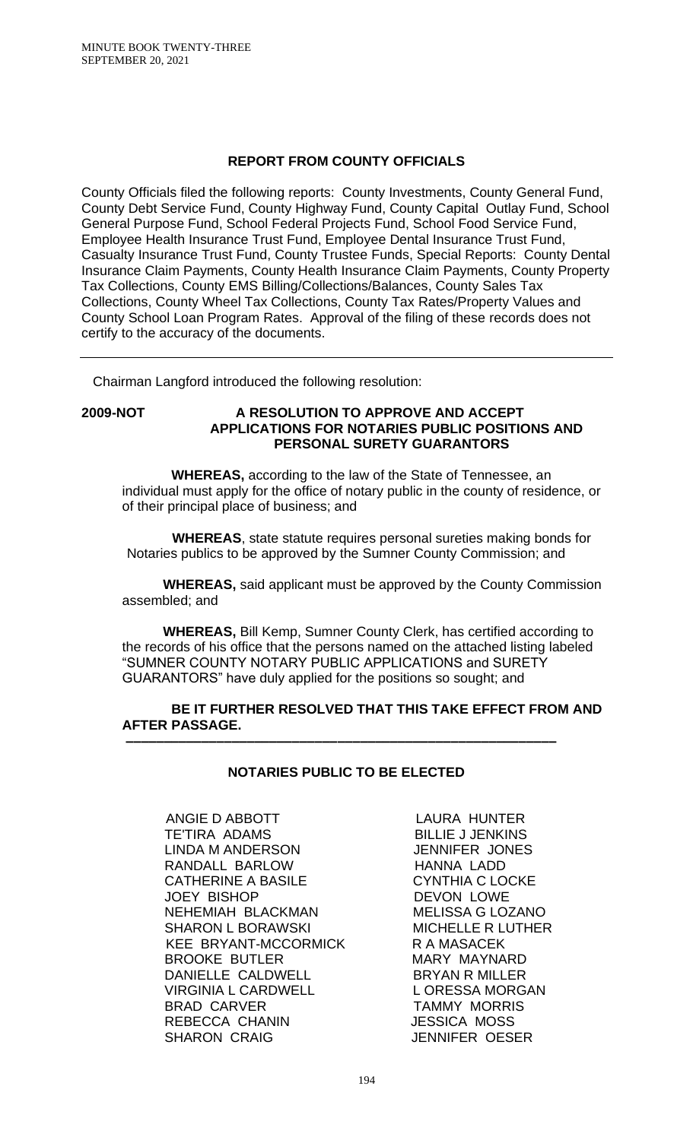# **REPORT FROM COUNTY OFFICIALS**

County Officials filed the following reports: County Investments, County General Fund, County Debt Service Fund, County Highway Fund, County Capital Outlay Fund, School General Purpose Fund, School Federal Projects Fund, School Food Service Fund, Employee Health Insurance Trust Fund, Employee Dental Insurance Trust Fund, Casualty Insurance Trust Fund, County Trustee Funds, Special Reports: County Dental Insurance Claim Payments, County Health Insurance Claim Payments, County Property Tax Collections, County EMS Billing/Collections/Balances, County Sales Tax Collections, County Wheel Tax Collections, County Tax Rates/Property Values and County School Loan Program Rates. Approval of the filing of these records does not certify to the accuracy of the documents.

Chairman Langford introduced the following resolution:

#### **2009-NOT A RESOLUTION TO APPROVE AND ACCEPT APPLICATIONS FOR NOTARIES PUBLIC POSITIONS AND PERSONAL SURETY GUARANTORS**

 **WHEREAS,** according to the law of the State of Tennessee, an individual must apply for the office of notary public in the county of residence, or of their principal place of business; and

 **WHEREAS**, state statute requires personal sureties making bonds for Notaries publics to be approved by the Sumner County Commission; and

**WHEREAS,** said applicant must be approved by the County Commission assembled; and

**WHEREAS,** Bill Kemp, Sumner County Clerk, has certified according to the records of his office that the persons named on the attached listing labeled "SUMNER COUNTY NOTARY PUBLIC APPLICATIONS and SURETY GUARANTORS" have duly applied for the positions so sought; and

## **BE IT FURTHER RESOLVED THAT THIS TAKE EFFECT FROM AND AFTER PASSAGE.**

# **NOTARIES PUBLIC TO BE ELECTED**

 **–––––––––––––––––––––––––––––––––––––––––––––––––––––––––**

ANGIE D ABBOTT LAURA HUNTER<br>TE'TIRA ADAMS LES BILLIE J JENKINS LINDA M ANDERSON JENNIFER JONES RANDALL BARLOW HANNA LADD CATHERINE A BASILE CYNTHIA C LOCKE JOEY BISHOP DEVON LOWE NEHEMIAH BLACKMAN MELISSA G LOZANO SHARON L BORAWSKI MICHELLE R LUTHER KEE BRYANT-MCCORMICK R A MASACEK BROOKE BUTLER MARY MAYNARD DANIELLE CALDWELL BRYAN R MILLER VIRGINIA L CARDWELL LORESSA MORGAN BRAD CARVER TAMMY MORRIS REBECCA CHANIN JESSICA MOSS SHARON CRAIG **JENNIFER OESER** 

BILLIE J JENKINS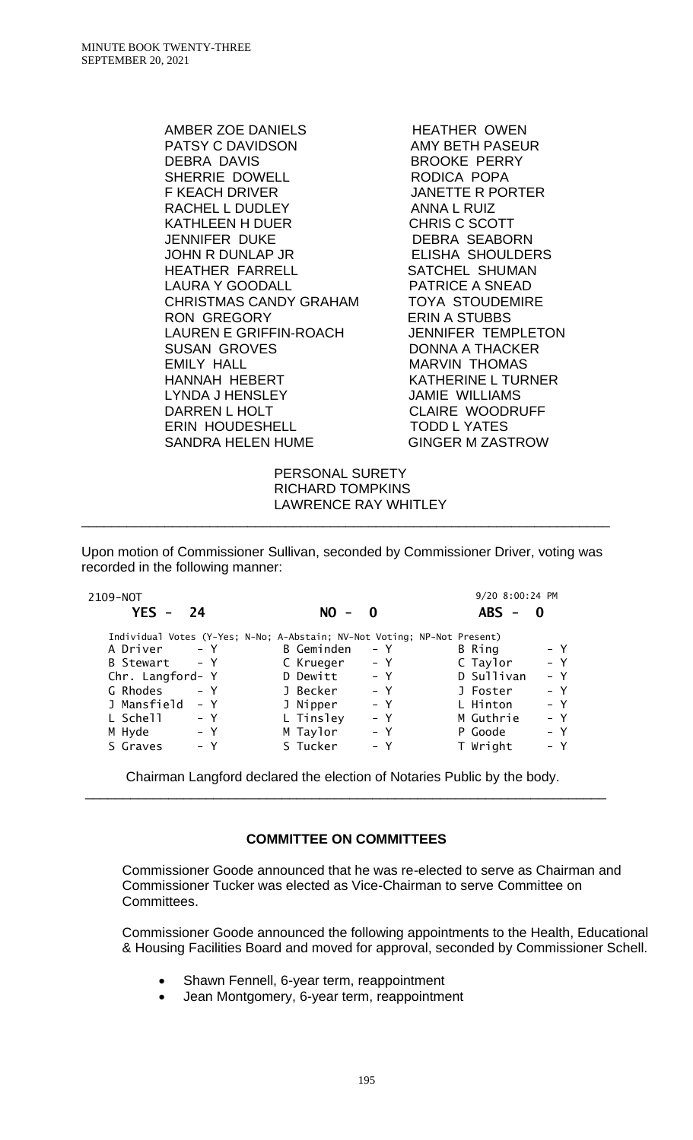AMBER ZOE DANIELS<br>
HEATHER OWEN PATSY C DAVIDSON AMY BETH PASEUR DEBRA DAVIS BROOKE PERRY SHERRIE DOWELL RODICA POPA F KEACH DRIVER JANETTE R PORTER RACHEL L DUDLEY ANNA L RUIZ KATHLEEN H DUER CHRIS C SCOTT JENNIFER DUKE DEBRA SEABORN JOHN R DUNLAP JR ELISHA SHOULDERS HEATHER FARRELL SATCHEL SHUMAN LAURA Y GOODALL PATRICE A SNEAD CHRISTMAS CANDY GRAHAM TOYA STOUDEMIRE RON GREGORY ERIN A STUBBS LAUREN E GRIFFIN-ROACH JENNIFER TEMPLETON SUSAN GROVES DONNA A THACKER EMILY HALL **MARVIN THOMAS** HANNAH HEBERT KATHERINE L TURNER LYNDA J HENSLEY JAMIE WILLIAMS DARREN LHOLT CLAIRE WOODRUFF ERIN HOUDESHELL TODD L YATES SANDRA HELEN HUME

 PERSONAL SURETY RICHARD TOMPKINS LAWRENCE RAY WHITLEY

Upon motion of Commissioner Sullivan, seconded by Commissioner Driver, voting was recorded in the following manner:

\_\_\_\_\_\_\_\_\_\_\_\_\_\_\_\_\_\_\_\_\_\_\_\_\_\_\_\_\_\_\_\_\_\_\_\_\_\_\_\_\_\_\_\_\_\_\_\_\_\_\_\_\_\_\_\_\_\_\_\_\_\_\_\_\_\_\_\_\_\_

| 2109-NOT                                                                 |                                       | 9/20 8:00:24 PM     |
|--------------------------------------------------------------------------|---------------------------------------|---------------------|
| $YES -$<br>24                                                            | NO I<br>0<br>$\overline{\phantom{m}}$ | $ABS -$             |
| Individual Votes (Y-Yes; N-No; A-Abstain; NV-Not Voting; NP-Not Present) |                                       |                     |
| A Driver                                                                 | <b>B</b> Geminden                     | – Y                 |
| $- Y$                                                                    | – Y                                   | B Ring              |
| $- Y$                                                                    | – Y                                   | $- Y$               |
| B Stewart                                                                | C Krueger                             | C Taylor            |
| Chr. Langford- Y                                                         | $- Y$<br>D Dewitt                     | D Sullivan<br>$- Y$ |
| G Rhodes                                                                 | J Becker                              | $- Y$               |
| $- Y$                                                                    | $- Y$                                 | J Foster            |
| J Mansfield                                                              | J Nipper                              | L Hinton            |
| – Y                                                                      | $- Y$                                 | $- Y$               |
| L Schell                                                                 | L Tinsley                             | M Guthrie           |
| $- Y$                                                                    | $- Y$                                 | – Y                 |
| M Hyde                                                                   | M Taylor                              | $- Y$               |
| – Y                                                                      | – Y                                   | P Goode             |
| S Graves                                                                 | S Tucker                              | T Wright            |
| – Y                                                                      | $- Y$                                 | $- Y$               |

Chairman Langford declared the election of Notaries Public by the body. \_\_\_\_\_\_\_\_\_\_\_\_\_\_\_\_\_\_\_\_\_\_\_\_\_\_\_\_\_\_\_\_\_\_\_\_\_\_\_\_\_\_\_\_\_\_\_\_\_\_\_\_\_\_\_\_\_\_\_\_\_\_\_\_\_\_\_\_\_

# **COMMITTEE ON COMMITTEES**

Commissioner Goode announced that he was re-elected to serve as Chairman and Commissioner Tucker was elected as Vice-Chairman to serve Committee on Committees.

Commissioner Goode announced the following appointments to the Health, Educational & Housing Facilities Board and moved for approval, seconded by Commissioner Schell.

- Shawn Fennell, 6-year term, reappointment
- Jean Montgomery, 6-year term, reappointment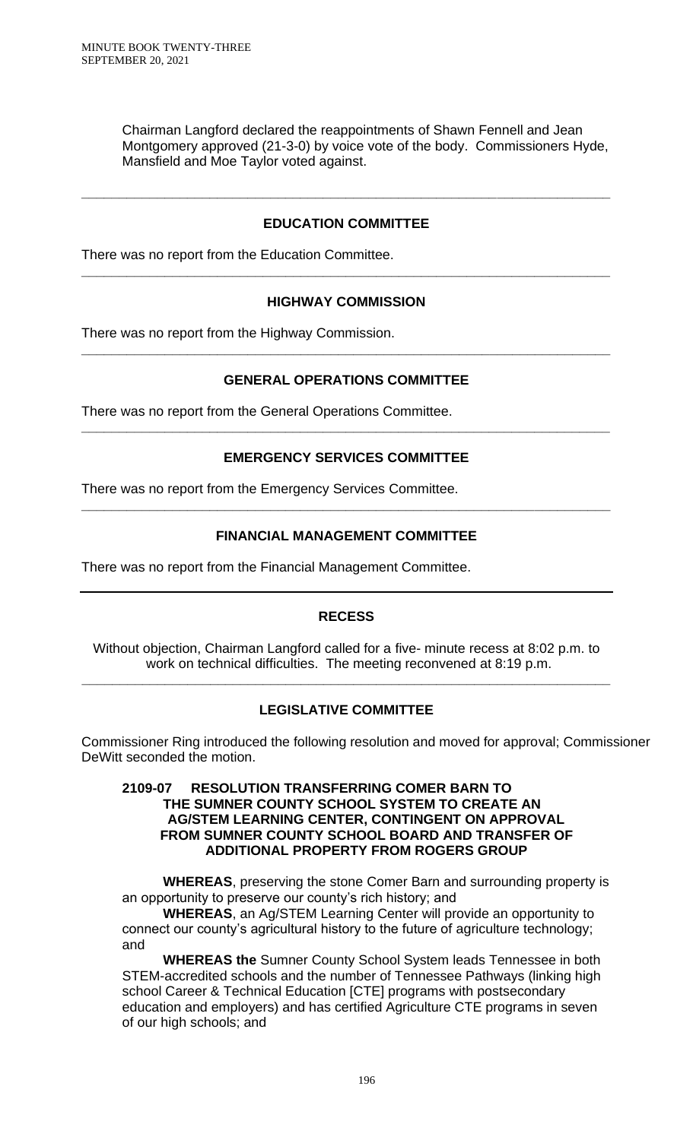Chairman Langford declared the reappointments of Shawn Fennell and Jean Montgomery approved (21-3-0) by voice vote of the body. Commissioners Hyde, Mansfield and Moe Taylor voted against.

# **EDUCATION COMMITTEE**

**\_\_\_\_\_\_\_\_\_\_\_\_\_\_\_\_\_\_\_\_\_\_\_\_\_\_\_\_\_\_\_\_\_\_\_\_\_\_\_\_\_\_\_\_\_\_\_\_\_\_\_\_\_\_\_\_\_\_\_\_\_\_\_\_\_\_\_\_\_\_**

There was no report from the Education Committee.

# **HIGHWAY COMMISSION**

**\_\_\_\_\_\_\_\_\_\_\_\_\_\_\_\_\_\_\_\_\_\_\_\_\_\_\_\_\_\_\_\_\_\_\_\_\_\_\_\_\_\_\_\_\_\_\_\_\_\_\_\_\_\_\_\_\_\_\_\_\_\_\_\_\_\_\_\_\_\_**

There was no report from the Highway Commission.

# **GENERAL OPERATIONS COMMITTEE**

**\_\_\_\_\_\_\_\_\_\_\_\_\_\_\_\_\_\_\_\_\_\_\_\_\_\_\_\_\_\_\_\_\_\_\_\_\_\_\_\_\_\_\_\_\_\_\_\_\_\_\_\_\_\_\_\_\_\_\_\_\_\_\_\_\_\_\_\_\_\_**

There was no report from the General Operations Committee.

# **EMERGENCY SERVICES COMMITTEE**

**\_\_\_\_\_\_\_\_\_\_\_\_\_\_\_\_\_\_\_\_\_\_\_\_\_\_\_\_\_\_\_\_\_\_\_\_\_\_\_\_\_\_\_\_\_\_\_\_\_\_\_\_\_\_\_\_\_\_\_\_\_\_\_\_\_\_\_\_\_\_**

There was no report from the Emergency Services Committee.

# **FINANCIAL MANAGEMENT COMMITTEE**

**\_\_\_\_\_\_\_\_\_\_\_\_\_\_\_\_\_\_\_\_\_\_\_\_\_\_\_\_\_\_\_\_\_\_\_\_\_\_\_\_\_\_\_\_\_\_\_\_\_\_\_\_\_\_\_\_\_\_\_\_\_\_\_\_\_\_\_\_\_\_**

There was no report from the Financial Management Committee.

# **RECESS**

Without objection, Chairman Langford called for a five- minute recess at 8:02 p.m. to work on technical difficulties. The meeting reconvened at 8:19 p.m.

**\_\_\_\_\_\_\_\_\_\_\_\_\_\_\_\_\_\_\_\_\_\_\_\_\_\_\_\_\_\_\_\_\_\_\_\_\_\_\_\_\_\_\_\_\_\_\_\_\_\_\_\_\_\_\_\_\_\_\_\_\_\_\_\_\_\_\_\_\_\_**

# **LEGISLATIVE COMMITTEE**

Commissioner Ring introduced the following resolution and moved for approval; Commissioner DeWitt seconded the motion.

### **2109-07 RESOLUTION TRANSFERRING COMER BARN TO THE SUMNER COUNTY SCHOOL SYSTEM TO CREATE AN AG/STEM LEARNING CENTER, CONTINGENT ON APPROVAL FROM SUMNER COUNTY SCHOOL BOARD AND TRANSFER OF ADDITIONAL PROPERTY FROM ROGERS GROUP**

**WHEREAS**, preserving the stone Comer Barn and surrounding property is an opportunity to preserve our county's rich history; and

**WHEREAS**, an Ag/STEM Learning Center will provide an opportunity to connect our county's agricultural history to the future of agriculture technology; and

**WHEREAS the** Sumner County School System leads Tennessee in both STEM-accredited schools and the number of Tennessee Pathways (linking high school Career & Technical Education [CTE] programs with postsecondary education and employers) and has certified Agriculture CTE programs in seven of our high schools; and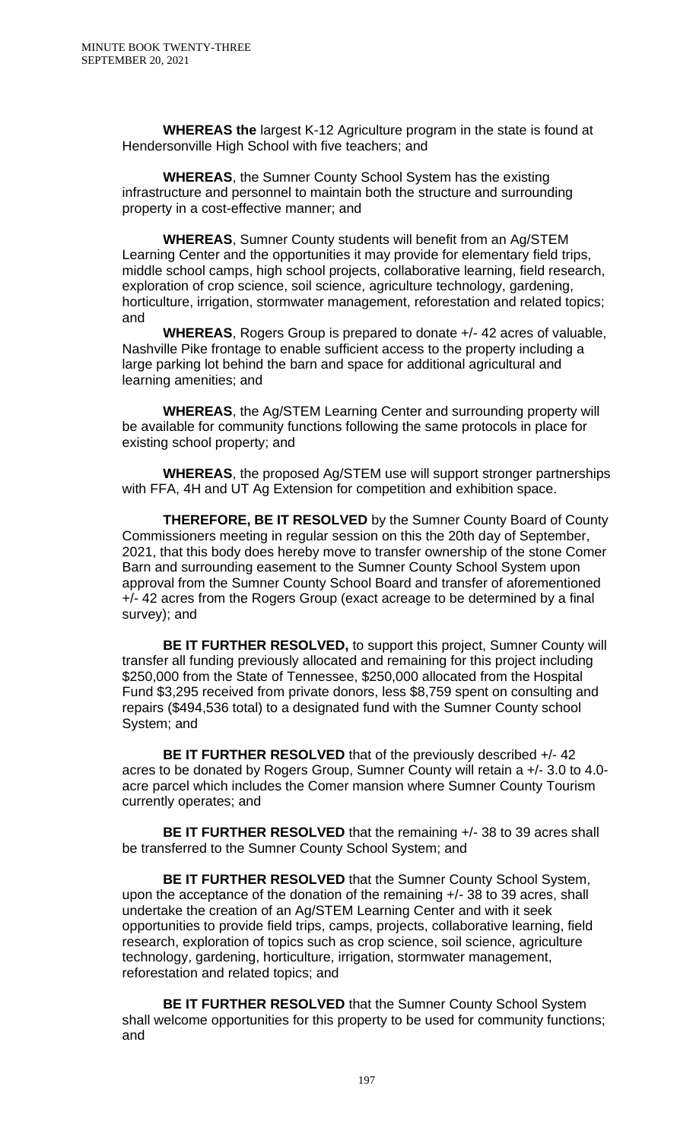**WHEREAS the** largest K-12 Agriculture program in the state is found at Hendersonville High School with five teachers; and

**WHEREAS**, the Sumner County School System has the existing infrastructure and personnel to maintain both the structure and surrounding property in a cost-effective manner; and

**WHEREAS**, Sumner County students will benefit from an Ag/STEM Learning Center and the opportunities it may provide for elementary field trips, middle school camps, high school projects, collaborative learning, field research, exploration of crop science, soil science, agriculture technology, gardening, horticulture, irrigation, stormwater management, reforestation and related topics; and

**WHEREAS**, Rogers Group is prepared to donate +/- 42 acres of valuable, Nashville Pike frontage to enable sufficient access to the property including a large parking lot behind the barn and space for additional agricultural and learning amenities; and

**WHEREAS**, the Ag/STEM Learning Center and surrounding property will be available for community functions following the same protocols in place for existing school property; and

**WHEREAS**, the proposed Ag/STEM use will support stronger partnerships with FFA, 4H and UT Ag Extension for competition and exhibition space.

**THEREFORE, BE IT RESOLVED** by the Sumner County Board of County Commissioners meeting in regular session on this the 20th day of September, 2021, that this body does hereby move to transfer ownership of the stone Comer Barn and surrounding easement to the Sumner County School System upon approval from the Sumner County School Board and transfer of aforementioned +/- 42 acres from the Rogers Group (exact acreage to be determined by a final survey); and

**BE IT FURTHER RESOLVED,** to support this project, Sumner County will transfer all funding previously allocated and remaining for this project including \$250,000 from the State of Tennessee, \$250,000 allocated from the Hospital Fund \$3,295 received from private donors, less \$8,759 spent on consulting and repairs (\$494,536 total) to a designated fund with the Sumner County school System; and

**BE IT FURTHER RESOLVED** that of the previously described +/- 42 acres to be donated by Rogers Group, Sumner County will retain a +/- 3.0 to 4.0 acre parcel which includes the Comer mansion where Sumner County Tourism currently operates; and

**BE IT FURTHER RESOLVED** that the remaining  $+/-$  38 to 39 acres shall be transferred to the Sumner County School System; and

**BE IT FURTHER RESOLVED** that the Sumner County School System, upon the acceptance of the donation of the remaining +/- 38 to 39 acres, shall undertake the creation of an Ag/STEM Learning Center and with it seek opportunities to provide field trips, camps, projects, collaborative learning, field research, exploration of topics such as crop science, soil science, agriculture technology, gardening, horticulture, irrigation, stormwater management, reforestation and related topics; and

**BE IT FURTHER RESOLVED** that the Sumner County School System shall welcome opportunities for this property to be used for community functions; and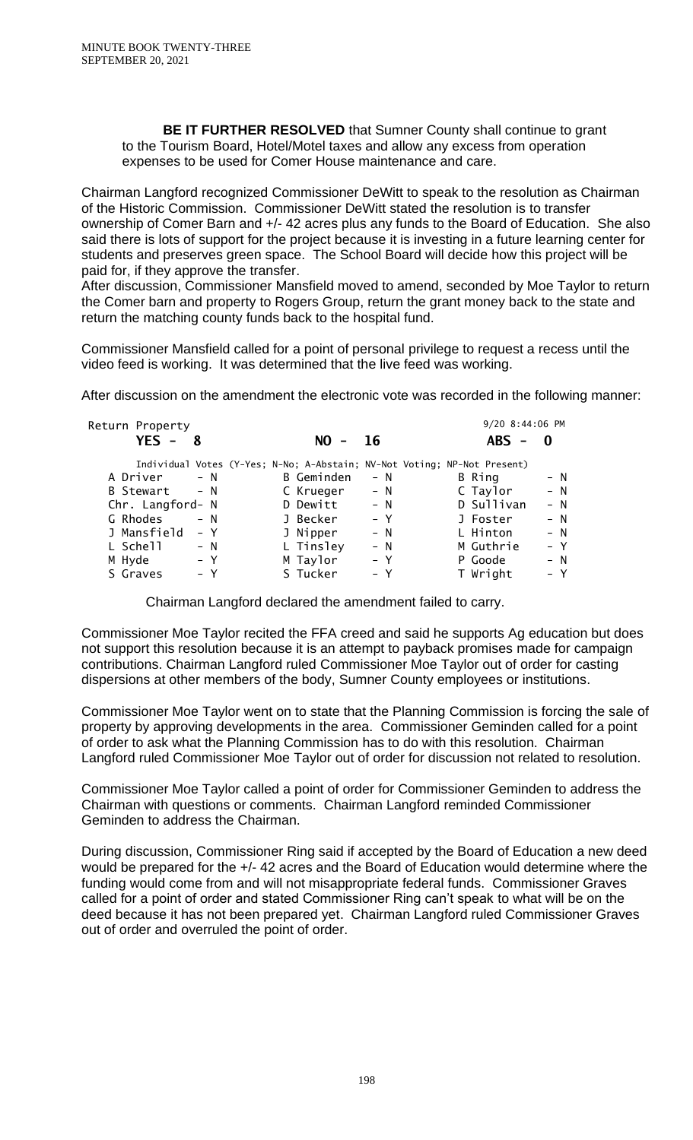**BE IT FURTHER RESOLVED** that Sumner County shall continue to grant to the Tourism Board, Hotel/Motel taxes and allow any excess from operation expenses to be used for Comer House maintenance and care.

Chairman Langford recognized Commissioner DeWitt to speak to the resolution as Chairman of the Historic Commission. Commissioner DeWitt stated the resolution is to transfer ownership of Comer Barn and +/- 42 acres plus any funds to the Board of Education. She also said there is lots of support for the project because it is investing in a future learning center for students and preserves green space. The School Board will decide how this project will be paid for, if they approve the transfer.

After discussion, Commissioner Mansfield moved to amend, seconded by Moe Taylor to return the Comer barn and property to Rogers Group, return the grant money back to the state and return the matching county funds back to the hospital fund.

Commissioner Mansfield called for a point of personal privilege to request a recess until the video feed is working. It was determined that the live feed was working.

After discussion on the amendment the electronic vote was recorded in the following manner:

| Return Property  |       |            |       | 9/20 8:44:06 PM                                                          |       |
|------------------|-------|------------|-------|--------------------------------------------------------------------------|-------|
| $YES - 8$        |       | $NO -$     | -16   | $ABS -$                                                                  | - 0   |
|                  |       |            |       | Individual Votes (Y-Yes; N-No; A-Abstain; NV-Not Voting; NP-Not Present) |       |
| A Driver         | $- N$ | B Geminden | $- N$ | B Ring                                                                   | $- N$ |
| B Stewart        | $- N$ | C Krueger  | $- N$ | C Taylor                                                                 | $- N$ |
| Chr. Langford- N |       | D Dewitt   | $- N$ | D Sullivan                                                               | $- N$ |
| G Rhodes         | $- N$ | J Becker   | $- Y$ | J Foster                                                                 | $- N$ |
| J Mansfield      | – Y   | J Nipper   | $- N$ | L Hinton                                                                 | $- N$ |
| L Schell         | $- N$ | L Tinsley  | $- N$ | M Guthrie                                                                | $- Y$ |
| M Hyde           | – Y   | M Taylor   | – Y   | P Goode                                                                  | $- N$ |
| S Graves         | - Y   | S Tucker   | – Y   | T Wright                                                                 | – Y   |

Chairman Langford declared the amendment failed to carry.

Commissioner Moe Taylor recited the FFA creed and said he supports Ag education but does not support this resolution because it is an attempt to payback promises made for campaign contributions. Chairman Langford ruled Commissioner Moe Taylor out of order for casting dispersions at other members of the body, Sumner County employees or institutions.

Commissioner Moe Taylor went on to state that the Planning Commission is forcing the sale of property by approving developments in the area. Commissioner Geminden called for a point of order to ask what the Planning Commission has to do with this resolution. Chairman Langford ruled Commissioner Moe Taylor out of order for discussion not related to resolution.

Commissioner Moe Taylor called a point of order for Commissioner Geminden to address the Chairman with questions or comments. Chairman Langford reminded Commissioner Geminden to address the Chairman.

During discussion, Commissioner Ring said if accepted by the Board of Education a new deed would be prepared for the +/- 42 acres and the Board of Education would determine where the funding would come from and will not misappropriate federal funds. Commissioner Graves called for a point of order and stated Commissioner Ring can't speak to what will be on the deed because it has not been prepared yet. Chairman Langford ruled Commissioner Graves out of order and overruled the point of order.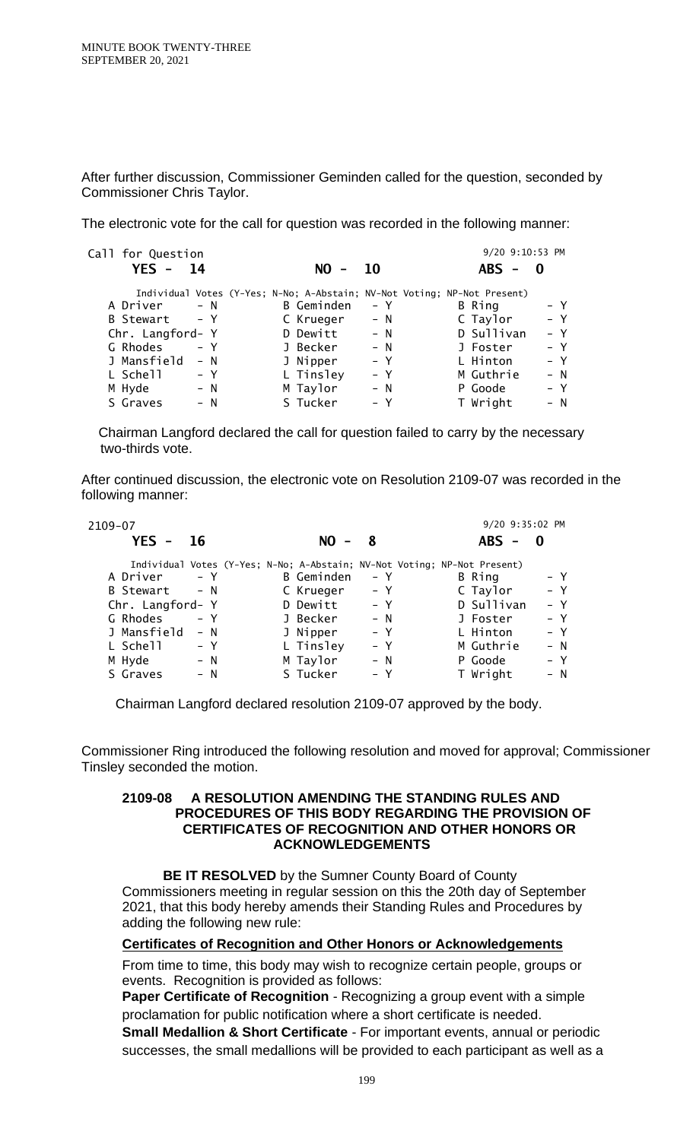After further discussion, Commissioner Geminden called for the question, seconded by Commissioner Chris Taylor.

The electronic vote for the call for question was recorded in the following manner:

| Call for Question    |                                                                          |           | 9/20 9:10:53 PM |          |
|----------------------|--------------------------------------------------------------------------|-----------|-----------------|----------|
| $YES -$<br>- 14      | NO I                                                                     | <b>10</b> | $ABS -$         | $\bf{0}$ |
|                      | Individual Votes (Y-Yes; N-No; A-Abstain; NV-Not Voting; NP-Not Present) |           |                 |          |
| $- N$<br>A Driver    | B Geminden                                                               | $- Y$     | B Ring          | – Y      |
| $- Y$<br>B Stewart   | C Krueger                                                                | $- N$     | C Taylor        | $- Y$    |
| Chr. Langford- Y     | D Dewitt                                                                 | $- N$     | D Sullivan      | $- Y$    |
| G Rhodes<br>$- Y$    | J Becker                                                                 | $- N$     | J Foster        | – Y      |
| J Mansfield<br>$- N$ | J Nipper                                                                 | $- Y$     | L Hinton        | – Y      |
| L Schell<br>– Y      | L Tinsley                                                                | $- Y$     | M Guthrie       | $- N$    |
| M Hyde<br>$- N$      | M Taylor                                                                 | $- N$     | P Goode         | $- Y$    |
| S Graves<br>$- N$    | S Tucker                                                                 | – Y       | T Wright        | $- N$    |

 Chairman Langford declared the call for question failed to carry by the necessary two-thirds vote.

After continued discussion, the electronic vote on Resolution 2109-07 was recorded in the following manner:

| 2109-07          |       |                                                                          |       | 9/20 9:35:02 PM |          |
|------------------|-------|--------------------------------------------------------------------------|-------|-----------------|----------|
| $YES -$          | 16    | NO L<br>$\overline{\phantom{a}}$                                         | -8    | <b>ABS</b>      | $\bf{0}$ |
|                  |       | Individual Votes (Y-Yes; N-No; A-Abstain; NV-Not Voting; NP-Not Present) |       |                 |          |
| A Driver         | $- Y$ | B Geminden                                                               | – Y   | B Ring          | – Y      |
| B Stewart        | $- N$ | C Krueger                                                                | – Y   | C Taylor        | $- Y$    |
| Chr. Langford- Y |       | D Dewitt                                                                 | $- Y$ | D Sullivan      | $- Y$    |
| G Rhodes         | $- Y$ | J Becker                                                                 | $- N$ | J Foster        | – Y      |
| J Mansfield      | $- N$ | J Nipper                                                                 | $- Y$ | L Hinton        | – Y      |
| L Schell         | $- Y$ | L Tinsley                                                                | $- Y$ | M Guthrie       | – N      |
| M Hyde           | $- N$ | M Taylor                                                                 | $- N$ | P Goode         | – Y      |
| S Graves         | – N   | S Tucker                                                                 | – Y   | T Wright        | – N      |

Chairman Langford declared resolution 2109-07 approved by the body.

Commissioner Ring introduced the following resolution and moved for approval; Commissioner Tinsley seconded the motion.

### **2109-08 A RESOLUTION AMENDING THE STANDING RULES AND PROCEDURES OF THIS BODY REGARDING THE PROVISION OF CERTIFICATES OF RECOGNITION AND OTHER HONORS OR ACKNOWLEDGEMENTS**

**BE IT RESOLVED** by the Sumner County Board of County Commissioners meeting in regular session on this the 20th day of September 2021, that this body hereby amends their Standing Rules and Procedures by adding the following new rule:

#### **Certificates of Recognition and Other Honors or Acknowledgements**

From time to time, this body may wish to recognize certain people, groups or events. Recognition is provided as follows:

**Paper Certificate of Recognition** - Recognizing a group event with a simple proclamation for public notification where a short certificate is needed.

**Small Medallion & Short Certificate** - For important events, annual or periodic successes, the small medallions will be provided to each participant as well as a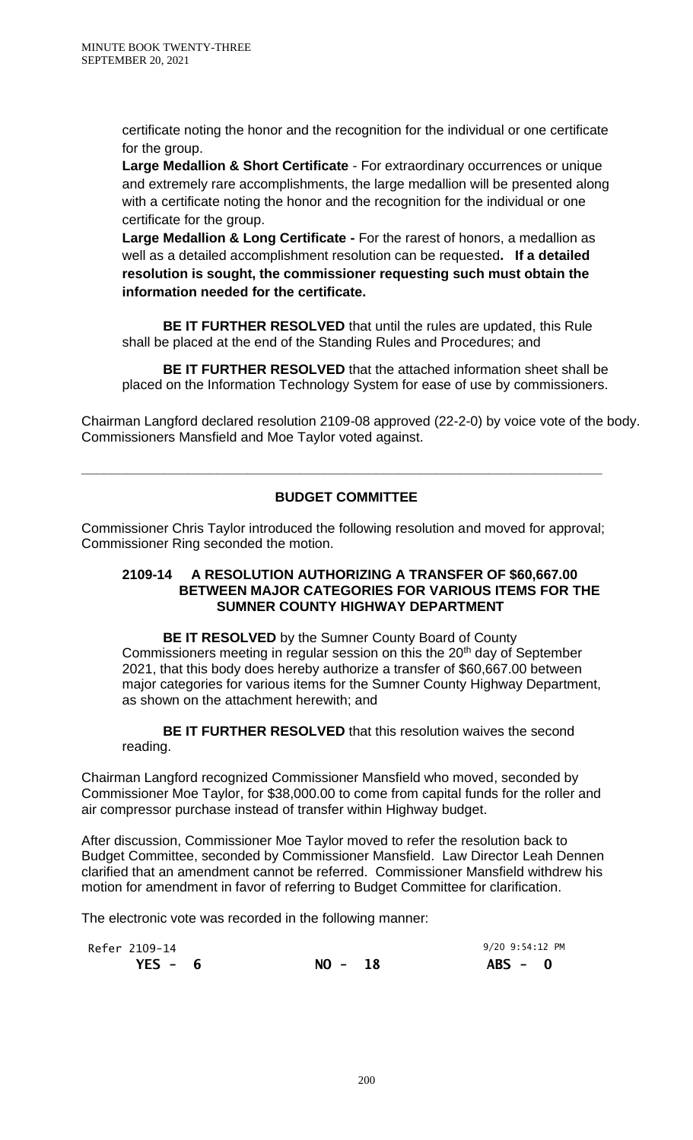certificate noting the honor and the recognition for the individual or one certificate for the group.

**Large Medallion & Short Certificate** - For extraordinary occurrences or unique and extremely rare accomplishments, the large medallion will be presented along with a certificate noting the honor and the recognition for the individual or one certificate for the group.

**Large Medallion & Long Certificate -** For the rarest of honors, a medallion as well as a detailed accomplishment resolution can be requested**. If a detailed resolution is sought, the commissioner requesting such must obtain the information needed for the certificate.**

**BE IT FURTHER RESOLVED** that until the rules are updated, this Rule shall be placed at the end of the Standing Rules and Procedures; and

**BE IT FURTHER RESOLVED** that the attached information sheet shall be placed on the Information Technology System for ease of use by commissioners.

Chairman Langford declared resolution 2109-08 approved (22-2-0) by voice vote of the body. Commissioners Mansfield and Moe Taylor voted against.

# **BUDGET COMMITTEE**

**\_\_\_\_\_\_\_\_\_\_\_\_\_\_\_\_\_\_\_\_\_\_\_\_\_\_\_\_\_\_\_\_\_\_\_\_\_\_\_\_\_\_\_\_\_\_\_\_\_\_\_\_\_\_\_\_\_\_\_\_\_\_\_\_\_\_\_\_\_**

Commissioner Chris Taylor introduced the following resolution and moved for approval; Commissioner Ring seconded the motion.

### **2109-14 A RESOLUTION AUTHORIZING A TRANSFER OF \$60,667.00 BETWEEN MAJOR CATEGORIES FOR VARIOUS ITEMS FOR THE SUMNER COUNTY HIGHWAY DEPARTMENT**

**BE IT RESOLVED** by the Sumner County Board of County Commissioners meeting in regular session on this the 20<sup>th</sup> day of September 2021, that this body does hereby authorize a transfer of \$60,667.00 between major categories for various items for the Sumner County Highway Department, as shown on the attachment herewith; and

**BE IT FURTHER RESOLVED** that this resolution waives the second reading.

Chairman Langford recognized Commissioner Mansfield who moved, seconded by Commissioner Moe Taylor, for \$38,000.00 to come from capital funds for the roller and air compressor purchase instead of transfer within Highway budget.

After discussion, Commissioner Moe Taylor moved to refer the resolution back to Budget Committee, seconded by Commissioner Mansfield. Law Director Leah Dennen clarified that an amendment cannot be referred. Commissioner Mansfield withdrew his motion for amendment in favor of referring to Budget Committee for clarification.

The electronic vote was recorded in the following manner:

| Refer 2109-14 |           | 9/20 9:54:12 PM |  |
|---------------|-----------|-----------------|--|
| $YES - 6$     | $NO - 18$ | $ABS - 0$       |  |